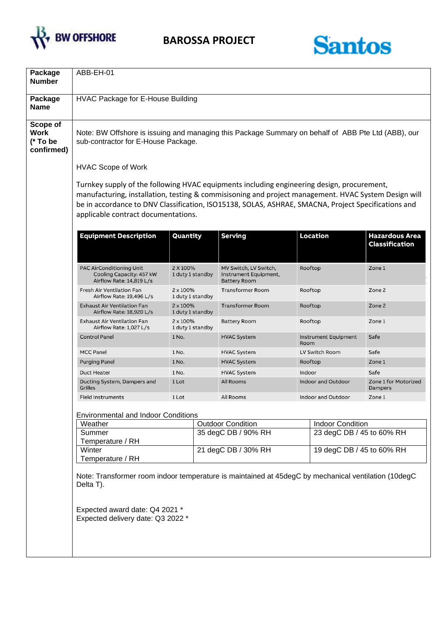



| Package<br><b>Number</b>                          | ABB-EH-01                                                                                                                                                                                                                                                                                                                                        |                                                                  |                          |                                                                                                                    |                           |                           |                                                |
|---------------------------------------------------|--------------------------------------------------------------------------------------------------------------------------------------------------------------------------------------------------------------------------------------------------------------------------------------------------------------------------------------------------|------------------------------------------------------------------|--------------------------|--------------------------------------------------------------------------------------------------------------------|---------------------------|---------------------------|------------------------------------------------|
| Package<br><b>Name</b>                            | HVAC Package for E-House Building                                                                                                                                                                                                                                                                                                                |                                                                  |                          |                                                                                                                    |                           |                           |                                                |
| Scope of<br><b>Work</b><br>(* To be<br>confirmed) | Note: BW Offshore is issuing and managing this Package Summary on behalf of ABB Pte Ltd (ABB), our<br>sub-contractor for E-House Package.                                                                                                                                                                                                        |                                                                  |                          |                                                                                                                    |                           |                           |                                                |
|                                                   | <b>HVAC Scope of Work</b>                                                                                                                                                                                                                                                                                                                        |                                                                  |                          |                                                                                                                    |                           |                           |                                                |
|                                                   | Turnkey supply of the following HVAC equipments including engineering design, procurement,<br>manufacturing, installation, testing & commisisoning and project management. HVAC System Design will<br>be in accordance to DNV Classification, ISO15138, SOLAS, ASHRAE, SMACNA, Project Specifications and<br>applicable contract documentations. |                                                                  |                          |                                                                                                                    |                           |                           |                                                |
|                                                   | <b>Equipment Description</b>                                                                                                                                                                                                                                                                                                                     | Quantity                                                         |                          | <b>Serving</b><br>MV Switch, LV Switch,<br>Instrument Equipment,<br><b>Battery Room</b><br><b>Transformer Room</b> |                           | Location                  | <b>Hazardous Area</b><br><b>Classification</b> |
|                                                   | PAC AirConditioning Unit<br>Cooling Capacity: 457 kW<br>Airflow Rate: 14,819 L/s                                                                                                                                                                                                                                                                 | 2 X 100%                                                         | 1 duty 1 standby         |                                                                                                                    |                           | Rooftop                   | Zone 1                                         |
|                                                   | Fresh Air Ventilation Fan<br>Airflow Rate: 19,496 L/s                                                                                                                                                                                                                                                                                            | 2 x 100%                                                         | 1 duty 1 standby         |                                                                                                                    |                           | Rooftop                   | Zone 2                                         |
|                                                   | <b>Exhaust Air Ventilation Fan</b><br>Airflow Rate: 18,920 L/s                                                                                                                                                                                                                                                                                   | 2 x 100%                                                         | 1 duty 1 standby         | <b>Transformer Room</b>                                                                                            | Rooftop                   |                           | Zone 2                                         |
|                                                   | Exhaust Air Ventilation Fan<br>Airflow Rate: 1,027 L/s                                                                                                                                                                                                                                                                                           | 2 x 100%<br>1 duty 1 standby<br>1 No.<br>1 No.<br>1 No.<br>1 No. |                          | <b>Battery Room</b>                                                                                                |                           | Rooftop                   | Zone 1                                         |
|                                                   | <b>Control Panel</b>                                                                                                                                                                                                                                                                                                                             |                                                                  |                          | <b>HVAC System</b>                                                                                                 | Room                      | Instrument Equipment      | Safe                                           |
|                                                   | <b>MCC Panel</b>                                                                                                                                                                                                                                                                                                                                 |                                                                  |                          | <b>HVAC System</b>                                                                                                 |                           | LV Switch Room            | Safe                                           |
|                                                   | <b>Purging Panel</b>                                                                                                                                                                                                                                                                                                                             |                                                                  |                          | <b>HVAC System</b>                                                                                                 |                           | Rooftop                   | Zone 1                                         |
|                                                   | <b>Duct Heater</b>                                                                                                                                                                                                                                                                                                                               |                                                                  |                          | <b>HVAC System</b>                                                                                                 | Indoor                    |                           | Safe                                           |
|                                                   | Ducting System, Dampers and<br>Grilles                                                                                                                                                                                                                                                                                                           | 1 Lot                                                            |                          | All Rooms<br>All Rooms                                                                                             |                           | <b>Indoor and Outdoor</b> | Zone 1 for Motorized<br>Dampers                |
|                                                   | <b>Field Instruments</b>                                                                                                                                                                                                                                                                                                                         | 1 Lot                                                            |                          |                                                                                                                    |                           | Indoor and Outdoor        | Zone 1                                         |
|                                                   |                                                                                                                                                                                                                                                                                                                                                  |                                                                  |                          |                                                                                                                    |                           |                           |                                                |
|                                                   | <b>Environmental and Indoor Conditions</b><br>Weather                                                                                                                                                                                                                                                                                            |                                                                  | <b>Outdoor Condition</b> |                                                                                                                    |                           | <b>Indoor Condition</b>   |                                                |
|                                                   | Summer                                                                                                                                                                                                                                                                                                                                           |                                                                  |                          | 35 degC DB / 90% RH                                                                                                |                           | 23 degC DB / 45 to 60% RH |                                                |
|                                                   | Temperature / RH                                                                                                                                                                                                                                                                                                                                 |                                                                  |                          |                                                                                                                    |                           |                           |                                                |
|                                                   | Winter<br>Temperature / RH                                                                                                                                                                                                                                                                                                                       | 21 degC DB / 30% RH                                              |                          |                                                                                                                    | 19 degC DB / 45 to 60% RH |                           |                                                |
|                                                   | Note: Transformer room indoor temperature is maintained at 45degC by mechanical ventilation (10degC<br>Delta T).                                                                                                                                                                                                                                 |                                                                  |                          |                                                                                                                    |                           |                           |                                                |
|                                                   | Expected award date: Q4 2021 *<br>Expected delivery date: Q3 2022 *                                                                                                                                                                                                                                                                              |                                                                  |                          |                                                                                                                    |                           |                           |                                                |
|                                                   |                                                                                                                                                                                                                                                                                                                                                  |                                                                  |                          |                                                                                                                    |                           |                           |                                                |